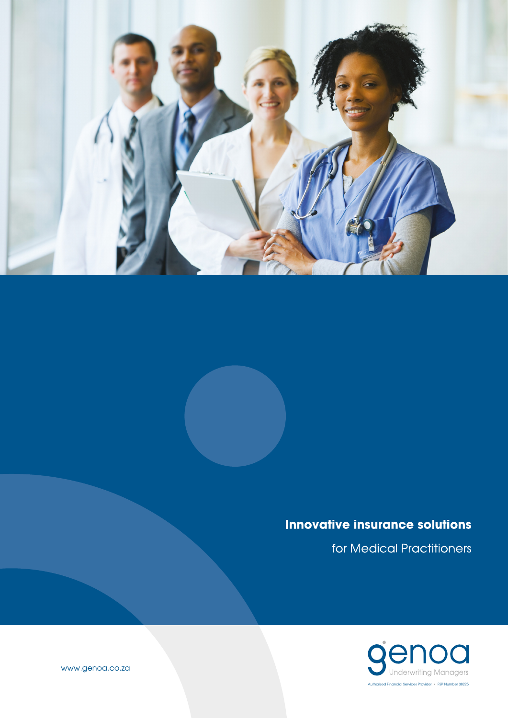

## **Innovative insurance solutions**

for Medical Practitioners



www.genoa.co.za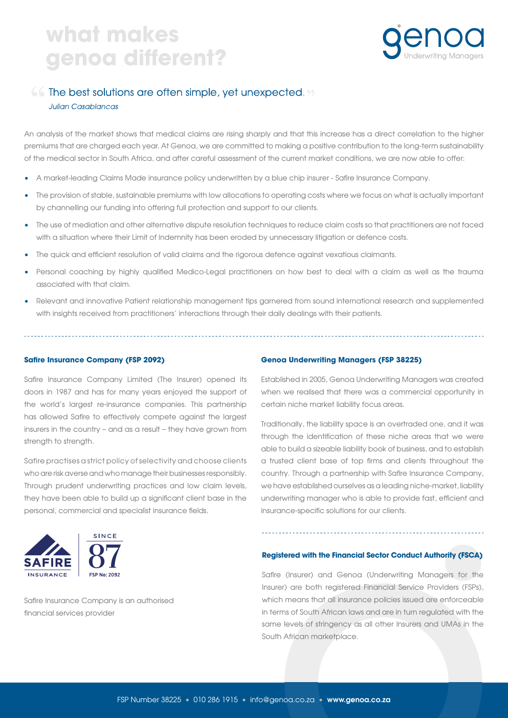# what makes genoa different?



### 66 The best solutions are often simple, yet unexpected. 99

#### **Julian Casablancas**

An analysis of the market shows that medical claims are rising sharply and that this increase has a direct correlation to the higher premiums that are charged each year. At Genoa, we are committed to making a positive contribution to the long-term sustainability of the medical sector in South Africa, and after careful assessment of the current market conditions, we are now able to offer:

- A market-leading Claims Made insurance policy underwritten by a blue chip insurer Safire Insurance Company.
- The provision of stable, sustainable premiums with low allocations to operating costs where we focus on what is actually important by channelling our funding into offering full protection and support to our clients.
- The use of mediation and other alternative dispute resolution techniques to reduce claim costs so that practitioners are not faced with a situation where their Limit of Indemnity has been eroded by unnecessary litigation or defence costs.
- The quick and efficient resolution of valid claims and the rigorous defence against vexatious claimants.
- Personal coaching by highly qualified Medico-Legal practitioners on how best to deal with a claim as well as the trauma associated with that claim.
- Relevant and innovative Patient relationship management tips garnered from sound international research and supplemented with insights received from practitioners' interactions through their daily dealings with their patients.

#### **Safire Insurance Company (FSP 2092)**

Safire Insurance Company Limited (The Insurer) opened its doors in 1987 and has for many years enjoyed the support of the world's largest re-insurance companies. This partnership has allowed Safire to effectively compete against the largest insurers in the country – and as a result – they have grown from strength to strength.

Safire practises a strict policy of selectivity and choose clients who are risk averse and who manage their businesses responsibly. Through prudent underwriting practices and low claim levels, they have been able to build up a significant client base in the personal, commercial and specialist insurance fields.



### Safire Insurance Company is an authorised financial services provider

#### **Genoa Underwriting Managers (FSP 38225)**

Established in 2005, Genoa Underwriting Managers was created when we realised that there was a commercial opportunity in certain niche market liability focus areas.

Traditionally, the liability space is an overtraded one, and it was through the identification of these niche areas that we were able to build a sizeable liability book of business, and to establish a trusted client base of top firms and clients throughout the country. Through a partnership with Safire Insurance Company, we have established ourselves as a leading niche-market, liability underwriting manager who is able to provide fast, efficient and insurance-specific solutions for our clients.

#### **Registered with the Financial Sector Conduct Authority (FSCA)**

Safire (Insurer) and Genoa (Underwriting Managers for the Insurer) are both registered Financial Service Providers (FSPs), which means that all insurance policies issued are enforceable in terms of South African laws and are in turn regulated with the same levels of stringency as all other Insurers and UMAs in the South African marketplace.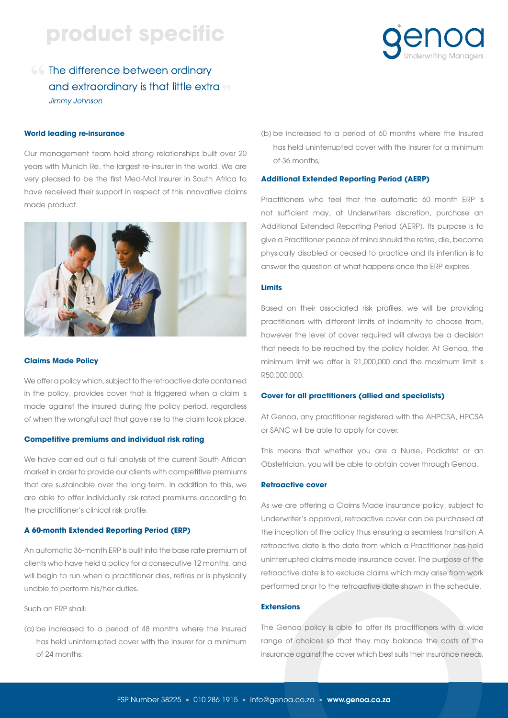# product specific

### 66 The difference between ordinary and extraordinary is that little extra <sub>22</sub> Jimmy Johnson

#### **World leading re-insurance**

Our management team hold strong relationships built over 20 years with Munich Re, the largest re-insurer in the world. We are very pleased to be the first Med-Mal Insurer in South Africa to have received their support in respect of this innovative claims made product.



#### **Claims Made Policy**

We offer a policy which, subject to the retroactive date contained in the policy, provides cover that is triggered when a claim is made against the insured during the policy period, regardless of when the wrongful act that gave rise to the claim took place.

#### **Competitive premiums and individual risk rating**

We have carried out a full analysis of the current South African market in order to provide our clients with competitive premiums that are sustainable over the long-term. In addition to this, we are able to offer individually risk-rated premiums according to the practitioner's clinical risk profile.

#### **A 60-month Extended Reporting Period (ERP)**

An automatic 36-month ERP is built into the base rate premium of clients who have held a policy for a consecutive 12 months, and will begin to run when a practitioner dies, retires or is physically unable to perform his/her duties.

Such an ERP shall:

(a) be increased to a period of 48 months where the Insured has held uninterrupted cover with the Insurer for a minimum of 24 months;

(b) be increased to a period of 60 months where the Insured has held uninterrupted cover with the Insurer for a minimum of 36 months;

#### **Additional Extended Reporting Period (AERP)**

Practitioners who feel that the automatic 60 month ERP is not sufficient may, at Underwriters discretion, purchase an Additional Extended Reporting Period (AERP). Its purpose is to give a Practitioner peace of mind should the retire, die, become physically disabled or ceased to practice and its intention is to answer the question of what happens once the ERP expires.

#### **Limits**

Based on their associated risk profiles, we will be providing practitioners with different limits of indemnity to choose from, however the level of cover required will always be a decision that needs to be reached by the policy holder. At Genoa, the minimum limit we offer is R1,000,000 and the maximum limit is R50,000,000.

#### **Cover for all practitioners (allied and specialists)**

At Genoa, any practitioner registered with the AHPCSA, HPCSA or SANC will be able to apply for cover.

This means that whether you are a Nurse, Podiatrist or an Obstetrician, you will be able to obtain cover through Genoa.

#### **Retroactive cover**

As we are offering a Claims Made insurance policy, subject to Underwriter's approval, retroactive cover can be purchased at the inception of the policy thus ensuring a seamless transition A retroactive date is the date from which a Practitioner has held uninterrupted claims made insurance cover. The purpose of the retroactive date is to exclude claims which may arise from work performed prior to the retroactive date shown in the schedule.

#### **Extensions**

The Genoa policy is able to offer its practitioners with a wide range of choices so that they may balance the costs of the insurance against the cover which best suits their insurance needs.